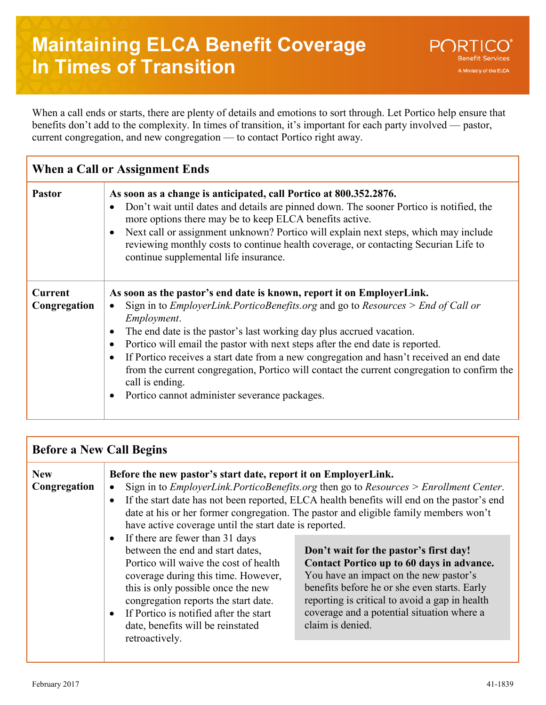When a call ends or starts, there are plenty of details and emotions to sort through. Let Portico help ensure that benefits don't add to the complexity. In times of transition, it's important for each party involved — pastor, current congregation, and new congregation — to contact Portico right away.

| When a Call or Assignment Ends |                                                                                                                                                                                                                                                                                                                                                                                                                                                                                                                                                                                                                       |  |
|--------------------------------|-----------------------------------------------------------------------------------------------------------------------------------------------------------------------------------------------------------------------------------------------------------------------------------------------------------------------------------------------------------------------------------------------------------------------------------------------------------------------------------------------------------------------------------------------------------------------------------------------------------------------|--|
| <b>Pastor</b>                  | As soon as a change is anticipated, call Portico at 800.352.2876.<br>Don't wait until dates and details are pinned down. The sooner Portico is notified, the<br>more options there may be to keep ELCA benefits active.<br>Next call or assignment unknown? Portico will explain next steps, which may include<br>reviewing monthly costs to continue health coverage, or contacting Securian Life to<br>continue supplemental life insurance.                                                                                                                                                                        |  |
| <b>Current</b><br>Congregation | As soon as the pastor's end date is known, report it on EmployerLink.<br>Sign in to <i>EmployerLink.PorticoBenefits.org</i> and go to <i>Resources</i> > <i>End of Call or</i><br>Employment.<br>The end date is the pastor's last working day plus accrued vacation.<br>Portico will email the pastor with next steps after the end date is reported.<br>If Portico receives a start date from a new congregation and hasn't received an end date<br>from the current congregation, Portico will contact the current congregation to confirm the<br>call is ending.<br>Portico cannot administer severance packages. |  |

| <b>Before a New Call Begins</b> |                                                                                                                                                                                                                                                             |                                                                                                                                                                                                                                                                                                                                            |  |
|---------------------------------|-------------------------------------------------------------------------------------------------------------------------------------------------------------------------------------------------------------------------------------------------------------|--------------------------------------------------------------------------------------------------------------------------------------------------------------------------------------------------------------------------------------------------------------------------------------------------------------------------------------------|--|
| <b>New</b><br>Congregation      | Before the new pastor's start date, report it on EmployerLink.<br>have active coverage until the start date is reported.<br>If there are fewer than 31 days<br>between the end and start dates,                                                             | Sign in to <i>EmployerLink.PorticoBenefits.org</i> then go to <i>Resources</i> > <i>Enrollment Center.</i><br>If the start date has not been reported, ELCA health benefits will end on the pastor's end<br>date at his or her former congregation. The pastor and eligible family members won't<br>Don't wait for the pastor's first day! |  |
|                                 | Portico will waive the cost of health<br>coverage during this time. However,<br>this is only possible once the new<br>congregation reports the start date.<br>If Portico is notified after the start<br>date, benefits will be reinstated<br>retroactively. | Contact Portico up to 60 days in advance.<br>You have an impact on the new pastor's<br>benefits before he or she even starts. Early<br>reporting is critical to avoid a gap in health<br>coverage and a potential situation where a<br>claim is denied.                                                                                    |  |